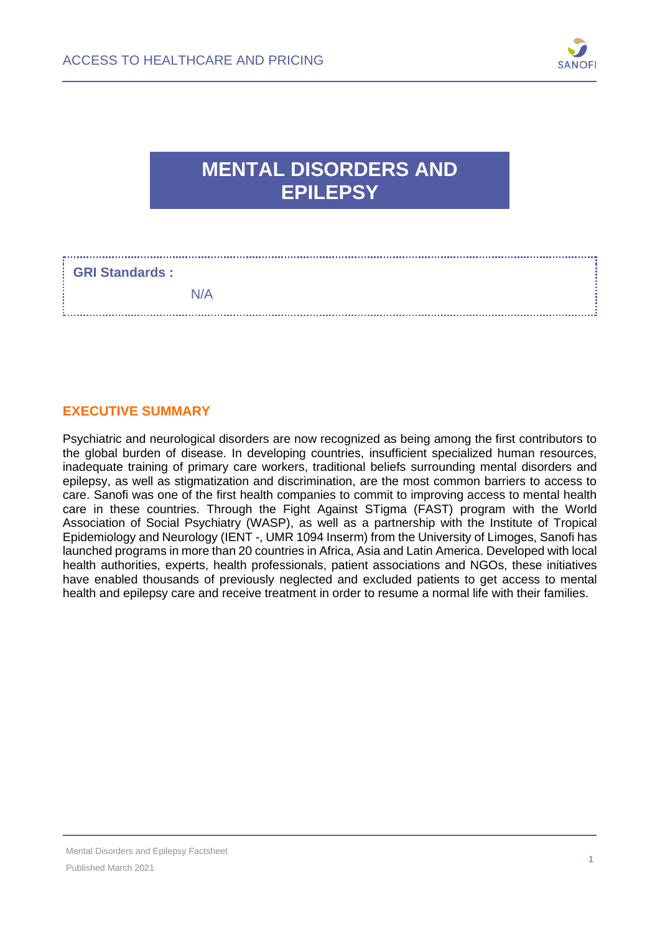

## **MENTAL DISORDERS AND EPILEPSY**

### **GRI Standards :**

#### **EXECUTIVE SUMMARY**

Psychiatric and neurological disorders are now recognized as being among the first contributors to the global burden of disease. In developing countries, insufficient specialized human resources, inadequate training of primary care workers, traditional beliefs surrounding mental disorders and epilepsy, as well as stigmatization and discrimination, are the most common barriers to access to care. Sanofi was one of the first health companies to commit to improving access to mental health care in these countries. Through the Fight Against STigma (FAST) program with the World Association of Social Psychiatry (WASP), as well as a partnership with the Institute of Tropical Epidemiology and Neurology (IENT -, UMR 1094 Inserm) from the University of Limoges, Sanofi has launched programs in more than 20 countries in Africa, Asia and Latin America. Developed with local health authorities, experts, health professionals, patient associations and NGOs, these initiatives have enabled thousands of previously neglected and excluded patients to get access to mental health and epilepsy care and receive treatment in order to resume a normal life with their families.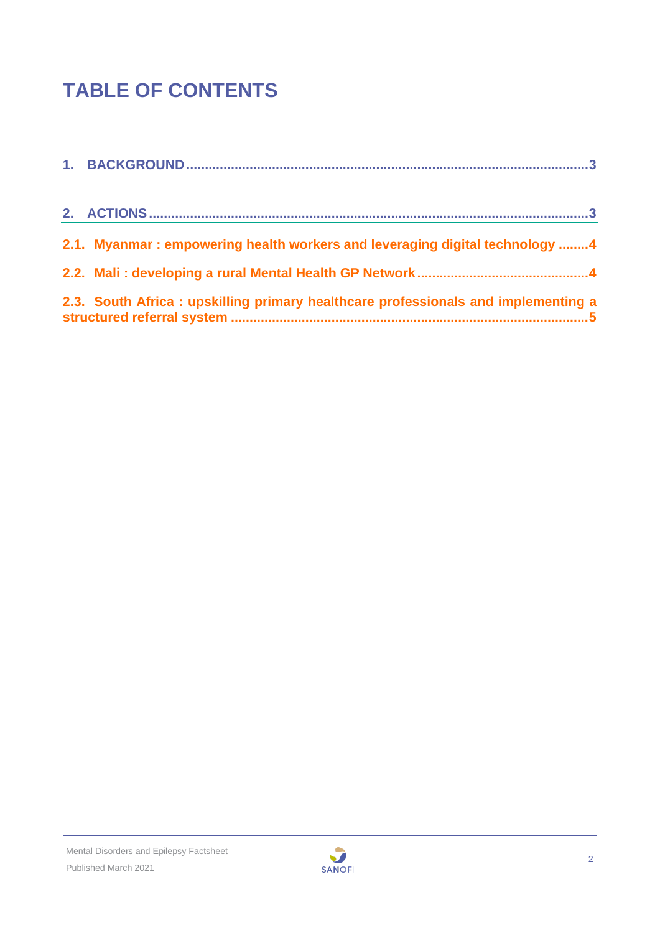# **TABLE OF CONTENTS**

| 2.1. Myanmar: empowering health workers and leveraging digital technology 4       |
|-----------------------------------------------------------------------------------|
|                                                                                   |
|                                                                                   |
| 2.3. South Africa: upskilling primary healthcare professionals and implementing a |
|                                                                                   |

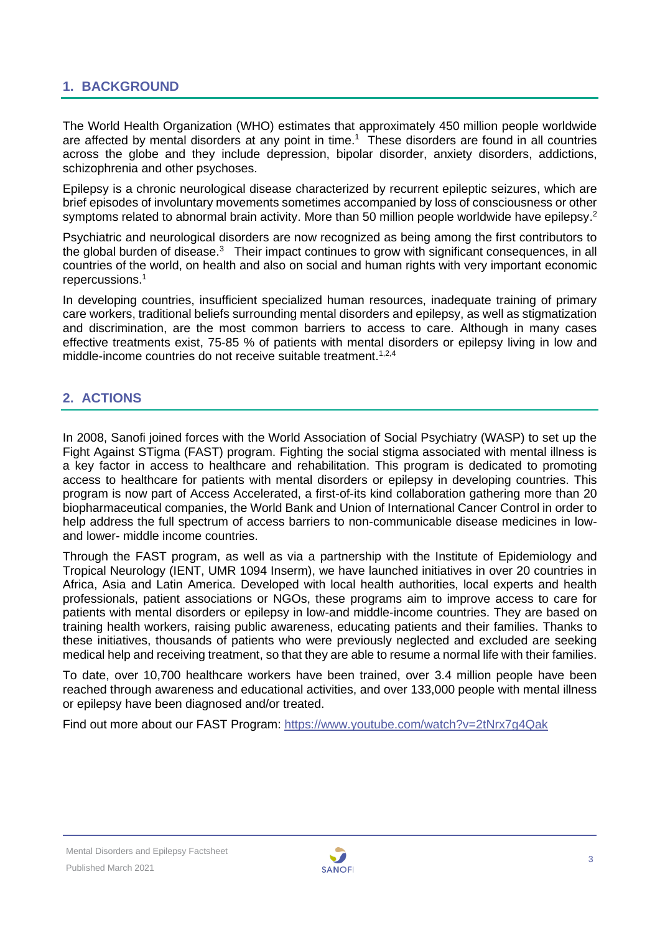#### <span id="page-2-0"></span>**1. BACKGROUND**

The World Health Organization (WHO) estimates that approximately 450 million people worldwide are affected by mental disorders at any point in time.<sup>1</sup> These disorders are found in all countries across the globe and they include depression, bipolar disorder, anxiety disorders, addictions, schizophrenia and other psychoses.

Epilepsy is a chronic neurological disease characterized by recurrent epileptic seizures, which are brief episodes of involuntary movements sometimes accompanied by loss of consciousness or other symptoms related to abnormal brain activity. More than 50 million people worldwide have epilepsy.<sup>2</sup>

Psychiatric and neurological disorders are now recognized as being among the first contributors to the global burden of disease. $3$  Their impact continues to grow with significant consequences, in all countries of the world, on health and also on social and human rights with very important economic repercussions. 1

In developing countries, insufficient specialized human resources, inadequate training of primary care workers, traditional beliefs surrounding mental disorders and epilepsy, as well as stigmatization and discrimination, are the most common barriers to access to care. Although in many cases effective treatments exist, 75-85 % of patients with mental disorders or epilepsy living in low and middle-income countries do not receive suitable treatment.<sup>1,2,4</sup>

#### <span id="page-2-1"></span>**2. ACTIONS**

In 2008, Sanofi joined forces with the World Association of Social Psychiatry (WASP) to set up the Fight Against STigma (FAST) program. Fighting the social stigma associated with mental illness is a key factor in access to healthcare and rehabilitation. This program is dedicated to promoting access to healthcare for patients with mental disorders or epilepsy in developing countries. This program is now part of Access Accelerated, a first-of-its kind collaboration gathering more than 20 biopharmaceutical companies, the World Bank and Union of International Cancer Control in order to help address the full spectrum of access barriers to non-communicable disease medicines in lowand lower- middle income countries.

Through the FAST program, as well as via a partnership with the Institute of Epidemiology and Tropical Neurology (IENT, UMR 1094 Inserm), we have launched initiatives in over 20 countries in Africa, Asia and Latin America. Developed with local health authorities, local experts and health professionals, patient associations or NGOs, these programs aim to improve access to care for patients with mental disorders or epilepsy in low-and middle-income countries. They are based on training health workers, raising public awareness, educating patients and their families. Thanks to these initiatives, thousands of patients who were previously neglected and excluded are seeking medical help and receiving treatment, so that they are able to resume a normal life with their families.

To date, over 10,700 healthcare workers have been trained, over 3.4 million people have been reached through awareness and educational activities, and over 133,000 people with mental illness or epilepsy have been diagnosed and/or treated.

Find out more about our FAST Program:<https://www.youtube.com/watch?v=2tNrx7g4Qak>

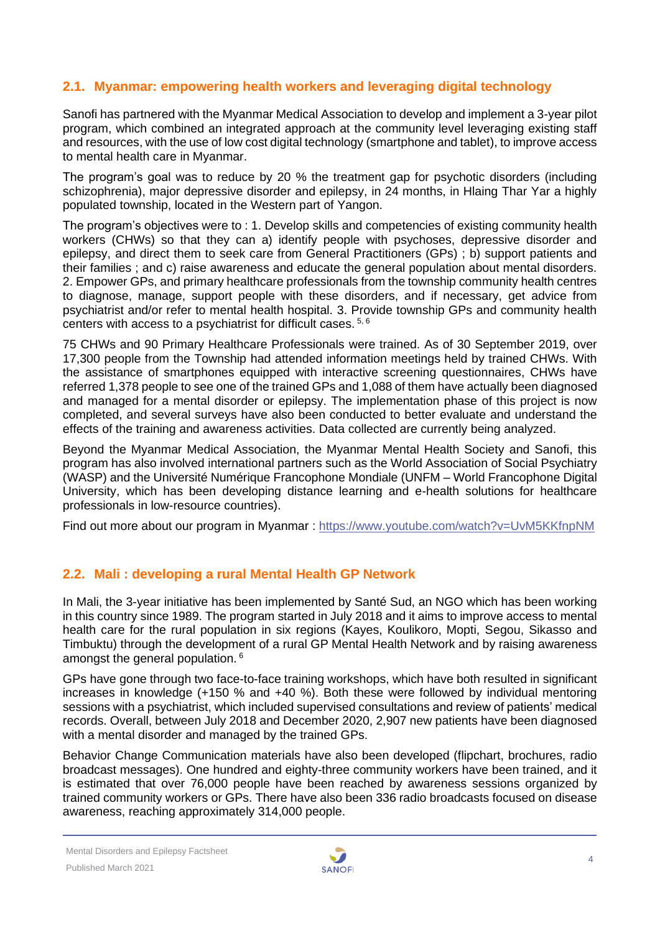#### <span id="page-3-0"></span>**2.1. Myanmar: empowering health workers and leveraging digital technology**

Sanofi has partnered with the Myanmar Medical Association to develop and implement a 3-year pilot program, which combined an integrated approach at the community level leveraging existing staff and resources, with the use of low cost digital technology (smartphone and tablet), to improve access to mental health care in Myanmar.

The program's goal was to reduce by 20 % the treatment gap for psychotic disorders (including schizophrenia), major depressive disorder and epilepsy, in 24 months, in Hlaing Thar Yar a highly populated township, located in the Western part of Yangon.

The program's objectives were to : 1. Develop skills and competencies of existing community health workers (CHWs) so that they can a) identify people with psychoses, depressive disorder and epilepsy, and direct them to seek care from General Practitioners (GPs) ; b) support patients and their families ; and c) raise awareness and educate the general population about mental disorders. 2. Empower GPs, and primary healthcare professionals from the township community health centres to diagnose, manage, support people with these disorders, and if necessary, get advice from psychiatrist and/or refer to mental health hospital. 3. Provide township GPs and community health centers with access to a psychiatrist for difficult cases. 5, 6

75 CHWs and 90 Primary Healthcare Professionals were trained. As of 30 September 2019, over 17,300 people from the Township had attended information meetings held by trained CHWs. With the assistance of smartphones equipped with interactive screening questionnaires, CHWs have referred 1,378 people to see one of the trained GPs and 1,088 of them have actually been diagnosed and managed for a mental disorder or epilepsy. The implementation phase of this project is now completed, and several surveys have also been conducted to better evaluate and understand the effects of the training and awareness activities. Data collected are currently being analyzed.

Beyond the Myanmar Medical Association, the Myanmar Mental Health Society and Sanofi, this program has also involved international partners such as the World Association of Social Psychiatry (WASP) and the Université Numérique Francophone Mondiale (UNFM – World Francophone Digital University, which has been developing distance learning and e-health solutions for healthcare professionals in low-resource countries).

<span id="page-3-1"></span>Find out more about our program in Myanmar :<https://www.youtube.com/watch?v=UvM5KKfnpNM>

#### **2.2. Mali : developing a rural Mental Health GP Network**

In Mali, the 3-year initiative has been implemented by Santé Sud, an NGO which has been working in this country since 1989. The program started in July 2018 and it aims to improve access to mental health care for the rural population in six regions (Kayes, Koulikoro, Mopti, Segou, Sikasso and Timbuktu) through the development of a rural GP Mental Health Network and by raising awareness amongst the general population.<sup>6</sup>

GPs have gone through two face-to-face training workshops, which have both resulted in significant increases in knowledge (+150 % and +40 %). Both these were followed by individual mentoring sessions with a psychiatrist, which included supervised consultations and review of patients' medical records. Overall, between July 2018 and December 2020, 2,907 new patients have been diagnosed with a mental disorder and managed by the trained GPs.

Behavior Change Communication materials have also been developed (flipchart, brochures, radio broadcast messages). One hundred and eighty-three community workers have been trained, and it is estimated that over 76,000 people have been reached by awareness sessions organized by trained community workers or GPs. There have also been 336 radio broadcasts focused on disease awareness, reaching approximately 314,000 people.